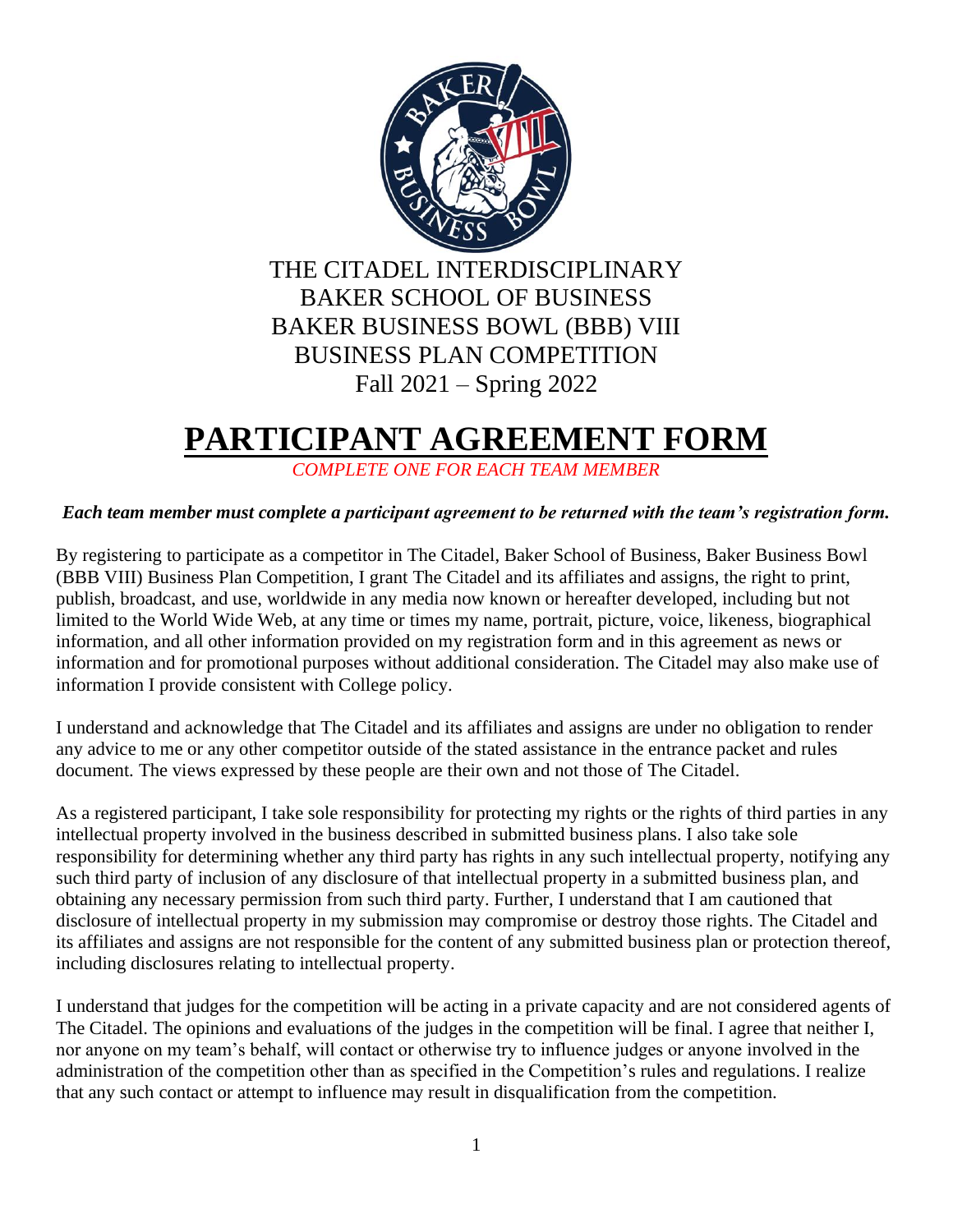

## **PARTICIPANT AGREEMENT FORM**

*COMPLETE ONE FOR EACH TEAM MEMBER*

## *Each team member must complete a participant agreement to be returned with the team's registration form.*

By registering to participate as a competitor in The Citadel, Baker School of Business, Baker Business Bowl (BBB VIII) Business Plan Competition, I grant The Citadel and its affiliates and assigns, the right to print, publish, broadcast, and use, worldwide in any media now known or hereafter developed, including but not limited to the World Wide Web, at any time or times my name, portrait, picture, voice, likeness, biographical information, and all other information provided on my registration form and in this agreement as news or information and for promotional purposes without additional consideration. The Citadel may also make use of information I provide consistent with College policy.

I understand and acknowledge that The Citadel and its affiliates and assigns are under no obligation to render any advice to me or any other competitor outside of the stated assistance in the entrance packet and rules document. The views expressed by these people are their own and not those of The Citadel.

As a registered participant, I take sole responsibility for protecting my rights or the rights of third parties in any intellectual property involved in the business described in submitted business plans. I also take sole responsibility for determining whether any third party has rights in any such intellectual property, notifying any such third party of inclusion of any disclosure of that intellectual property in a submitted business plan, and obtaining any necessary permission from such third party. Further, I understand that I am cautioned that disclosure of intellectual property in my submission may compromise or destroy those rights. The Citadel and its affiliates and assigns are not responsible for the content of any submitted business plan or protection thereof, including disclosures relating to intellectual property.

I understand that judges for the competition will be acting in a private capacity and are not considered agents of The Citadel. The opinions and evaluations of the judges in the competition will be final. I agree that neither I, nor anyone on my team's behalf, will contact or otherwise try to influence judges or anyone involved in the administration of the competition other than as specified in the Competition's rules and regulations. I realize that any such contact or attempt to influence may result in disqualification from the competition.